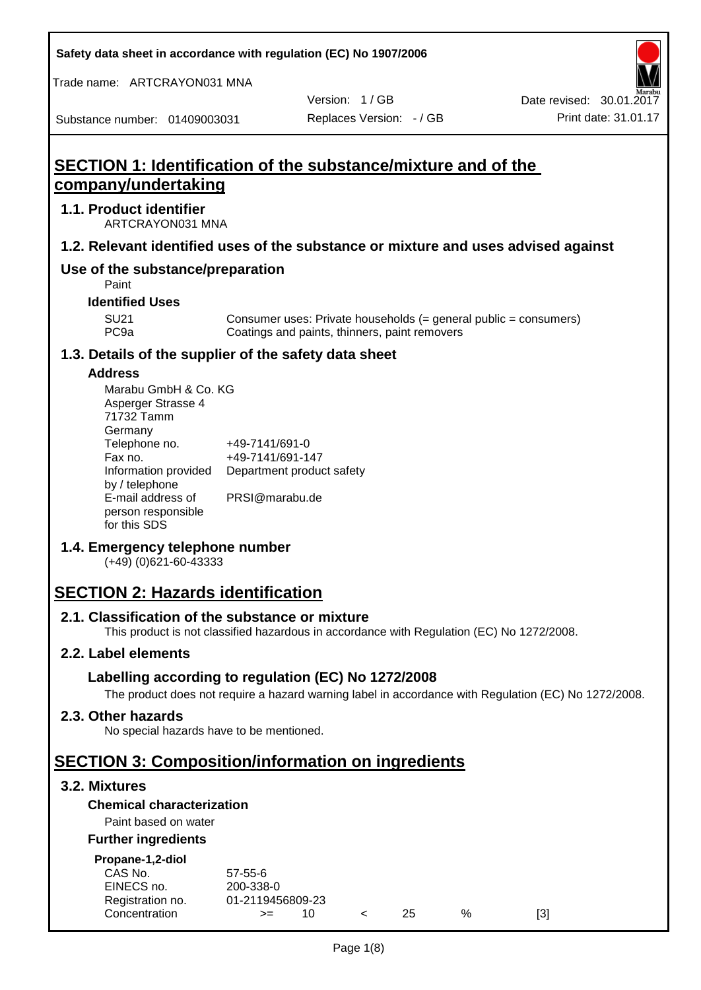**Safety data sheet in accordance with regulation (EC) No 1907/2006**

Trade name: ARTCRAYON031 MNA

Version: 1 / GB

Substance number: 01409003031

# **SECTION 1: Identification of the substance/mixture and of the company/undertaking**

## **1.1. Product identifier**

ARTCRAYON031 MNA

## **1.2. Relevant identified uses of the substance or mixture and uses advised against**

# **Use of the substance/preparation**

Paint

**Identified Uses**

SU21 Consumer uses: Private households (= general public = consumers)<br>PC9a Coatings and paints, thinners, paint removers Coatings and paints, thinners, paint removers

#### **1.3. Details of the supplier of the safety data sheet**

#### **Address**

| Marabu GmbH & Co. KG |                           |
|----------------------|---------------------------|
| Asperger Strasse 4   |                           |
| 71732 Tamm           |                           |
| Germany              |                           |
| Telephone no.        | +49-7141/691-0            |
| Fax no.              | +49-7141/691-147          |
| Information provided | Department product safety |
| by / telephone       |                           |
| E-mail address of    | PRSI@marabu.de            |
| person responsible   |                           |
| for this SDS         |                           |

## **1.4. Emergency telephone number**

(+49) (0)621-60-43333

# **SECTION 2: Hazards identification**

#### **2.1. Classification of the substance or mixture**

This product is not classified hazardous in accordance with Regulation (EC) No 1272/2008.

## **2.2. Label elements**

## **Labelling according to regulation (EC) No 1272/2008**

The product does not require a hazard warning label in accordance with Regulation (EC) No 1272/2008.

#### **2.3. Other hazards**

No special hazards have to be mentioned.

# **SECTION 3: Composition/information on ingredients**

## **3.2. Mixtures**

## **Chemical characterization**

## Paint based on water

#### **Further ingredients**

| Propane-1,2-diol |  |
|------------------|--|

| CAS No.          | $57 - 55 - 6$    |     |     |   |     |
|------------------|------------------|-----|-----|---|-----|
| EINECS no.       | 200-338-0        |     |     |   |     |
| Registration no. | 01-2119456809-23 |     |     |   |     |
| Concentration    | $>=$             | 10. | 25. | % | [3] |
|                  |                  |     |     |   |     |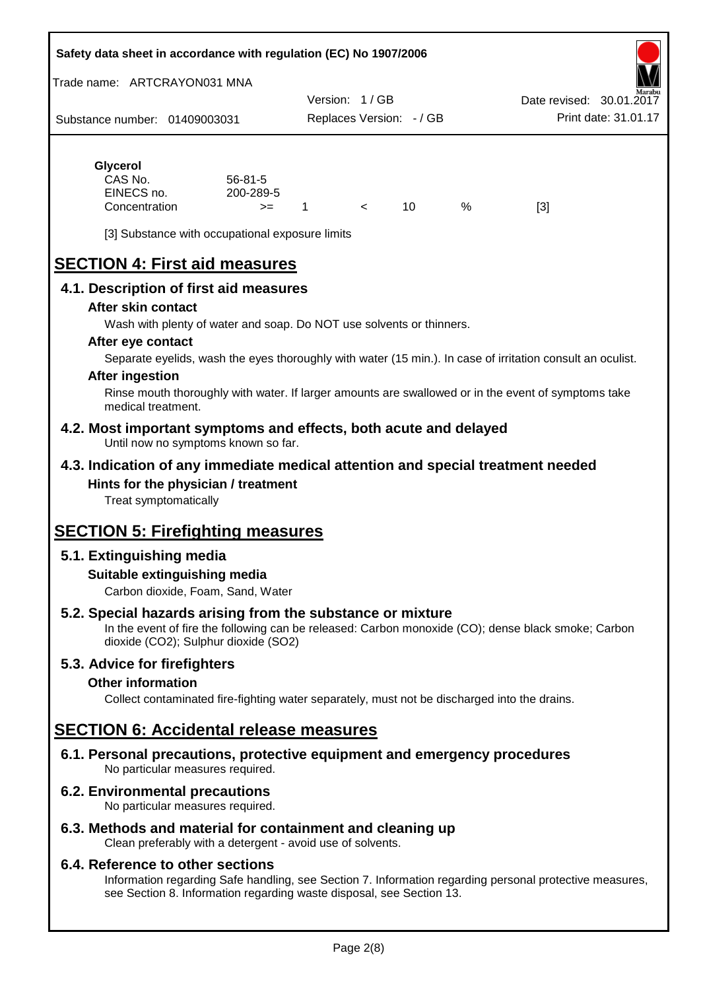#### **Safety data sheet in accordance with regulation (EC) No 1907/2006**

Trade name: ARTCRAYON031 MNA

Substance number: 01409003031 Version: 1 / GB Replaces Version: - / GB Print date: 31.01.17 Date revised: 30.01.2

# **Glycerol**

| CAS No.       | $56 - 81 - 5$ |  |   |     |
|---------------|---------------|--|---|-----|
| EINECS no.    | 200-289-5     |  |   |     |
| Concentration | >=            |  | % | [3] |

[3] Substance with occupational exposure limits

# **SECTION 4: First aid measures**

## **4.1. Description of first aid measures**

#### **After skin contact**

Wash with plenty of water and soap. Do NOT use solvents or thinners.

#### **After eye contact**

Separate eyelids, wash the eyes thoroughly with water (15 min.). In case of irritation consult an oculist.

#### **After ingestion**

Rinse mouth thoroughly with water. If larger amounts are swallowed or in the event of symptoms take medical treatment.

#### **4.2. Most important symptoms and effects, both acute and delayed** Until now no symptoms known so far.

## **4.3. Indication of any immediate medical attention and special treatment needed Hints for the physician / treatment**

Treat symptomatically

# **SECTION 5: Firefighting measures**

## **5.1. Extinguishing media**

## **Suitable extinguishing media**

Carbon dioxide, Foam, Sand, Water

# **5.2. Special hazards arising from the substance or mixture**

In the event of fire the following can be released: Carbon monoxide (CO); dense black smoke; Carbon dioxide (CO2); Sulphur dioxide (SO2)

## **5.3. Advice for firefighters**

#### **Other information**

Collect contaminated fire-fighting water separately, must not be discharged into the drains.

# **SECTION 6: Accidental release measures**

**6.1. Personal precautions, protective equipment and emergency procedures** No particular measures required.

## **6.2. Environmental precautions**

No particular measures required.

## **6.3. Methods and material for containment and cleaning up**

Clean preferably with a detergent - avoid use of solvents.

#### **6.4. Reference to other sections**

Information regarding Safe handling, see Section 7. Information regarding personal protective measures, see Section 8. Information regarding waste disposal, see Section 13.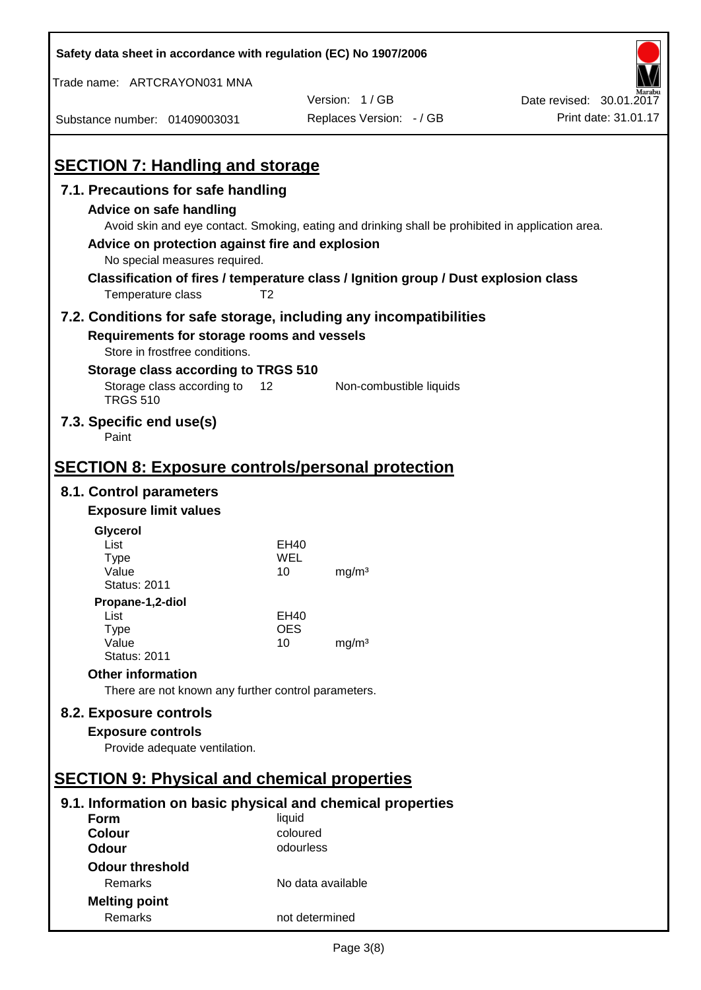| Safety data sheet in accordance with regulation (EC) No 1907/2006                                        |                       |                          |                          |
|----------------------------------------------------------------------------------------------------------|-----------------------|--------------------------|--------------------------|
| Trade name: ARTCRAYON031 MNA                                                                             |                       |                          |                          |
|                                                                                                          |                       | Version: 1/GB            | Date revised: 30.01.2017 |
| Substance number: 01409003031                                                                            |                       | Replaces Version: - / GB | Print date: 31.01.17     |
|                                                                                                          |                       |                          |                          |
| <b>SECTION 7: Handling and storage</b>                                                                   |                       |                          |                          |
| 7.1. Precautions for safe handling                                                                       |                       |                          |                          |
| Advice on safe handling                                                                                  |                       |                          |                          |
| Avoid skin and eye contact. Smoking, eating and drinking shall be prohibited in application area.        |                       |                          |                          |
| Advice on protection against fire and explosion                                                          |                       |                          |                          |
| No special measures required.                                                                            |                       |                          |                          |
| Classification of fires / temperature class / Ignition group / Dust explosion class<br>Temperature class | T <sub>2</sub>        |                          |                          |
| 7.2. Conditions for safe storage, including any incompatibilities                                        |                       |                          |                          |
| Requirements for storage rooms and vessels                                                               |                       |                          |                          |
| Store in frostfree conditions.                                                                           |                       |                          |                          |
| Storage class according to TRGS 510                                                                      |                       |                          |                          |
| Storage class according to<br><b>TRGS 510</b>                                                            | 12                    | Non-combustible liquids  |                          |
| 7.3. Specific end use(s)<br>Paint                                                                        |                       |                          |                          |
|                                                                                                          |                       |                          |                          |
| <b>SECTION 8: Exposure controls/personal protection</b>                                                  |                       |                          |                          |
| 8.1. Control parameters                                                                                  |                       |                          |                          |
| <b>Exposure limit values</b>                                                                             |                       |                          |                          |
| Glycerol                                                                                                 |                       |                          |                          |
| List                                                                                                     | EH40                  |                          |                          |
| <b>Type</b><br>Value                                                                                     | WEL<br>10             | mg/m <sup>3</sup>        |                          |
| <b>Status: 2011</b>                                                                                      |                       |                          |                          |
| Propane-1,2-diol                                                                                         |                       |                          |                          |
| List                                                                                                     | <b>EH40</b>           |                          |                          |
| <b>Type</b><br>Value                                                                                     | <b>OES</b><br>10      | mg/m <sup>3</sup>        |                          |
| <b>Status: 2011</b>                                                                                      |                       |                          |                          |
| <b>Other information</b>                                                                                 |                       |                          |                          |
| There are not known any further control parameters.                                                      |                       |                          |                          |
| 8.2. Exposure controls                                                                                   |                       |                          |                          |
| <b>Exposure controls</b>                                                                                 |                       |                          |                          |
| Provide adequate ventilation.                                                                            |                       |                          |                          |
|                                                                                                          |                       |                          |                          |
| <b>SECTION 9: Physical and chemical properties</b>                                                       |                       |                          |                          |
| 9.1. Information on basic physical and chemical properties                                               |                       |                          |                          |
| <b>Form</b>                                                                                              | liquid                |                          |                          |
| <b>Colour</b><br><b>Odour</b>                                                                            | coloured<br>odourless |                          |                          |
| <b>Odour threshold</b>                                                                                   |                       |                          |                          |
| Remarks                                                                                                  | No data available     |                          |                          |
| <b>Melting point</b>                                                                                     |                       |                          |                          |
| Remarks                                                                                                  | not determined        |                          |                          |

 $\mathbf{r}$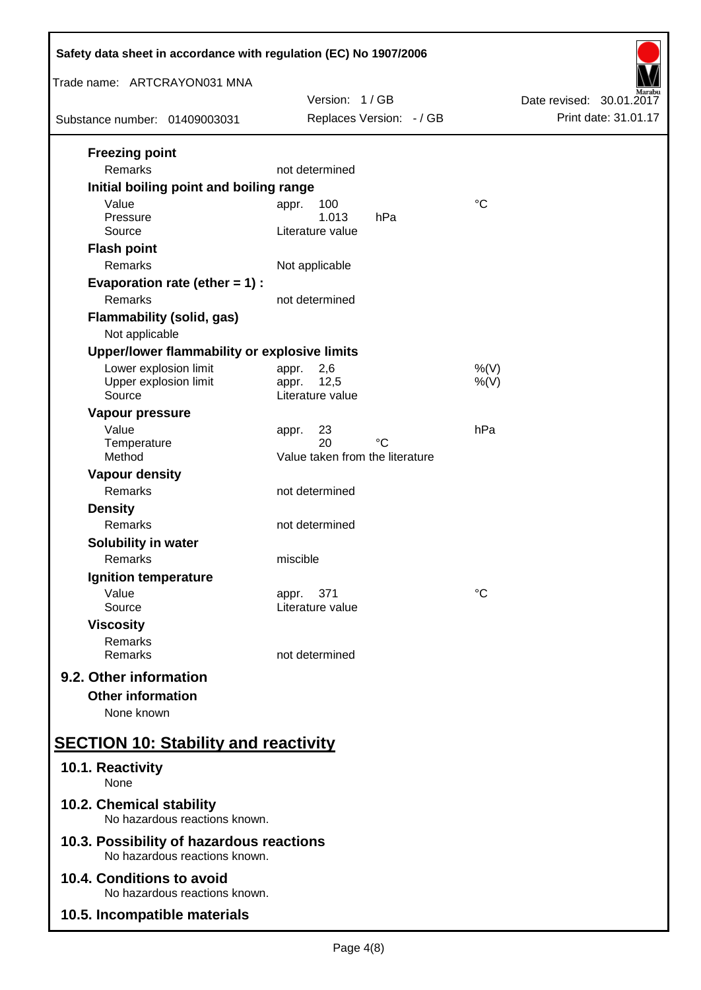| Safety data sheet in accordance with regulation (EC) No 1907/2006                                        |                                                                    |                          |  |  |
|----------------------------------------------------------------------------------------------------------|--------------------------------------------------------------------|--------------------------|--|--|
| Trade name: ARTCRAYON031 MNA                                                                             | Version: 1/GB                                                      | Date revised: 30.01.2017 |  |  |
| Substance number: 01409003031                                                                            | Replaces Version: - / GB                                           | Print date: 31.01.17     |  |  |
| <b>Freezing point</b><br>Remarks                                                                         | not determined                                                     |                          |  |  |
| Initial boiling point and boiling range<br>Value<br>Pressure<br>Source<br><b>Flash point</b><br>Remarks  | 100<br>appr.<br>1.013<br>hPa<br>Literature value<br>Not applicable | $^{\circ}C$              |  |  |
| Evaporation rate (ether $= 1$ ) :<br>Remarks                                                             | not determined                                                     |                          |  |  |
| <b>Flammability (solid, gas)</b><br>Not applicable                                                       |                                                                    |                          |  |  |
| Upper/lower flammability or explosive limits<br>Lower explosion limit<br>Upper explosion limit<br>Source | 2,6<br>appr.<br>12,5<br>appr.<br>Literature value                  | $%$ (V)<br>$%$ (V)       |  |  |
| Vapour pressure<br>Value<br>Temperature<br>Method                                                        | 23<br>appr.<br>20<br>°C<br>Value taken from the literature         | hPa                      |  |  |
| <b>Vapour density</b><br>Remarks                                                                         | not determined                                                     |                          |  |  |
| <b>Density</b><br>Remarks<br><b>Solubility in water</b>                                                  | not determined                                                     |                          |  |  |
| Remarks<br>Ignition temperature                                                                          | miscible                                                           |                          |  |  |
| Value<br>Source<br><b>Viscosity</b>                                                                      | 371<br>appr.<br>Literature value                                   | $^{\circ}C$              |  |  |
| Remarks<br>Remarks                                                                                       | not determined                                                     |                          |  |  |
| 9.2. Other information<br><b>Other information</b><br>None known                                         |                                                                    |                          |  |  |
| <b>SECTION 10: Stability and reactivity</b>                                                              |                                                                    |                          |  |  |
| 10.1. Reactivity<br>None                                                                                 |                                                                    |                          |  |  |
| 10.2. Chemical stability<br>No hazardous reactions known.                                                |                                                                    |                          |  |  |
| 10.3. Possibility of hazardous reactions<br>No hazardous reactions known.                                |                                                                    |                          |  |  |
| 10.4. Conditions to avoid<br>No hazardous reactions known.                                               |                                                                    |                          |  |  |
| 10.5. Incompatible materials                                                                             |                                                                    |                          |  |  |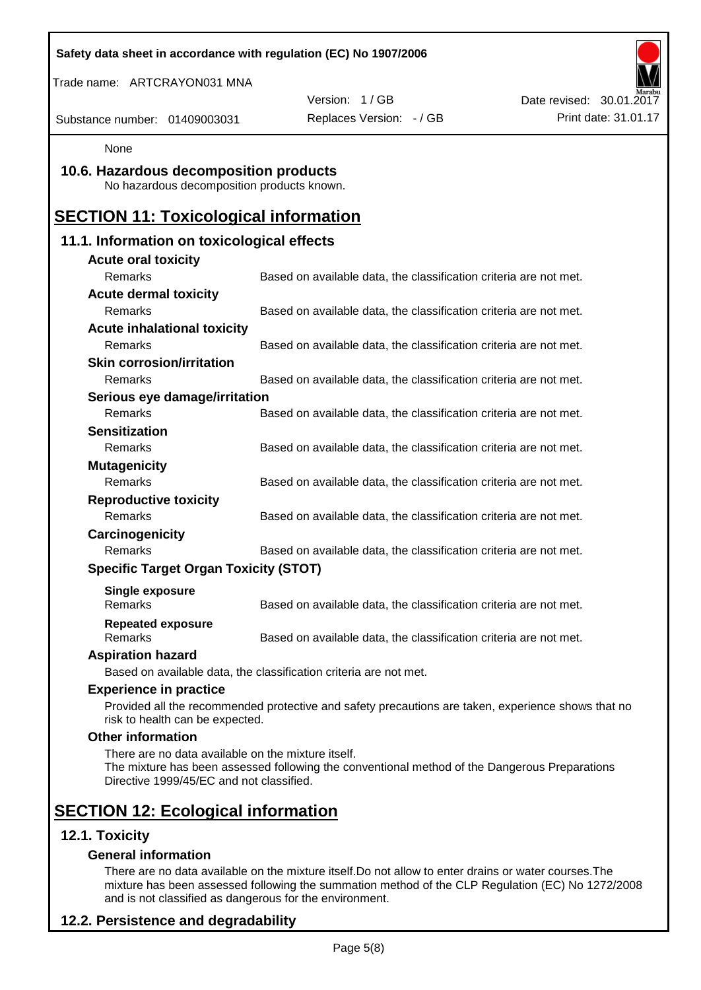| Safety data sheet in accordance with regulation (EC) No 1907/2006                              |                                                                                                    |                          |
|------------------------------------------------------------------------------------------------|----------------------------------------------------------------------------------------------------|--------------------------|
| Trade name: ARTCRAYON031 MNA                                                                   |                                                                                                    |                          |
|                                                                                                | Version: 1/GB                                                                                      | Date revised: 30.01.2017 |
| Substance number: 01409003031                                                                  | Replaces Version: - / GB                                                                           | Print date: 31.01.17     |
| None                                                                                           |                                                                                                    |                          |
| 10.6. Hazardous decomposition products<br>No hazardous decomposition products known.           |                                                                                                    |                          |
| <b>SECTION 11: Toxicological information</b>                                                   |                                                                                                    |                          |
| 11.1. Information on toxicological effects                                                     |                                                                                                    |                          |
| <b>Acute oral toxicity</b>                                                                     |                                                                                                    |                          |
| Remarks                                                                                        | Based on available data, the classification criteria are not met.                                  |                          |
| <b>Acute dermal toxicity</b>                                                                   |                                                                                                    |                          |
| Remarks                                                                                        | Based on available data, the classification criteria are not met.                                  |                          |
| <b>Acute inhalational toxicity</b>                                                             |                                                                                                    |                          |
| Remarks                                                                                        | Based on available data, the classification criteria are not met.                                  |                          |
| <b>Skin corrosion/irritation</b>                                                               |                                                                                                    |                          |
| Remarks                                                                                        | Based on available data, the classification criteria are not met.                                  |                          |
| Serious eye damage/irritation                                                                  |                                                                                                    |                          |
| Remarks                                                                                        | Based on available data, the classification criteria are not met.                                  |                          |
| <b>Sensitization</b>                                                                           |                                                                                                    |                          |
| Remarks                                                                                        | Based on available data, the classification criteria are not met.                                  |                          |
| <b>Mutagenicity</b>                                                                            |                                                                                                    |                          |
| Remarks                                                                                        | Based on available data, the classification criteria are not met.                                  |                          |
| <b>Reproductive toxicity</b><br>Remarks                                                        |                                                                                                    |                          |
|                                                                                                | Based on available data, the classification criteria are not met.                                  |                          |
| Carcinogenicity<br>Remarks                                                                     | Based on available data, the classification criteria are not met.                                  |                          |
| <b>Specific Target Organ Toxicity (STOT)</b>                                                   |                                                                                                    |                          |
|                                                                                                |                                                                                                    |                          |
| Single exposure<br>Remarks                                                                     | Based on available data, the classification criteria are not met.                                  |                          |
| <b>Repeated exposure</b><br>Remarks                                                            | Based on available data, the classification criteria are not met.                                  |                          |
| <b>Aspiration hazard</b>                                                                       |                                                                                                    |                          |
|                                                                                                | Based on available data, the classification criteria are not met.                                  |                          |
| <b>Experience in practice</b>                                                                  |                                                                                                    |                          |
| risk to health can be expected.                                                                | Provided all the recommended protective and safety precautions are taken, experience shows that no |                          |
| <b>Other information</b>                                                                       |                                                                                                    |                          |
| There are no data available on the mixture itself.<br>Directive 1999/45/EC and not classified. | The mixture has been assessed following the conventional method of the Dangerous Preparations      |                          |
| <b>SECTION 12: Ecological information</b>                                                      |                                                                                                    |                          |
| 12.1. Toxicity                                                                                 |                                                                                                    |                          |
| <b>General information</b>                                                                     |                                                                                                    |                          |

There are no data available on the mixture itself.Do not allow to enter drains or water courses.The mixture has been assessed following the summation method of the CLP Regulation (EC) No 1272/2008 and is not classified as dangerous for the environment.

# **12.2. Persistence and degradability**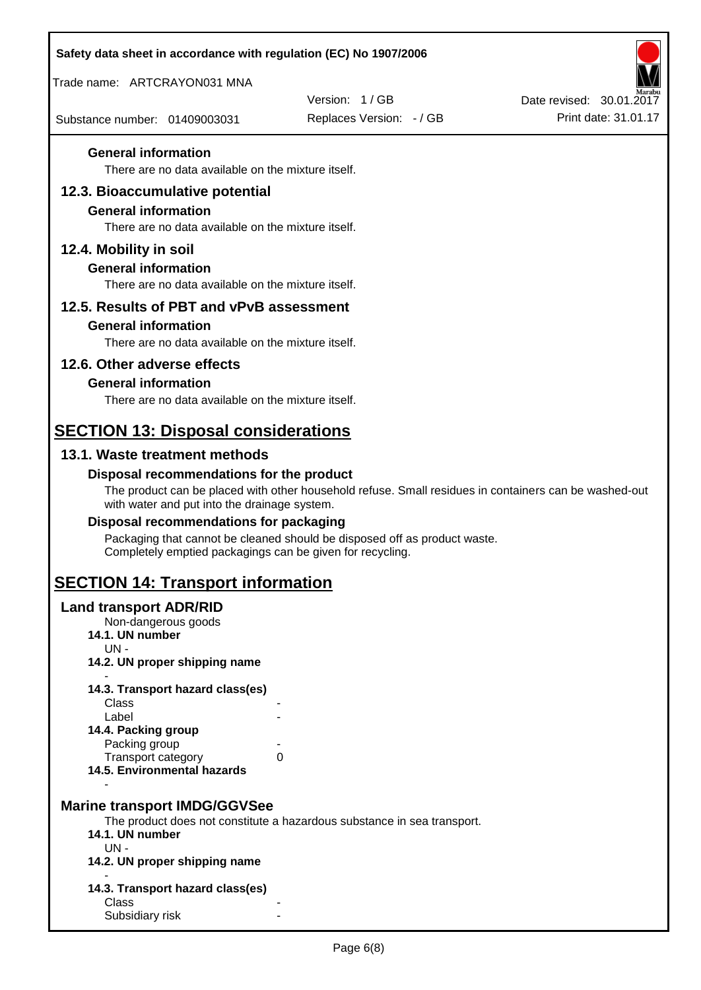| Safety data sheet in accordance with regulation (EC) No 1907/2006                |                                                                                                       |                          |
|----------------------------------------------------------------------------------|-------------------------------------------------------------------------------------------------------|--------------------------|
| Trade name: ARTCRAYON031 MNA                                                     |                                                                                                       |                          |
|                                                                                  | Version: 1/GB                                                                                         | Date revised: 30.01.2017 |
| Substance number: 01409003031                                                    | Replaces Version: - / GB                                                                              | Print date: 31.01.17     |
| <b>General information</b>                                                       |                                                                                                       |                          |
| There are no data available on the mixture itself.                               |                                                                                                       |                          |
| 12.3. Bioaccumulative potential                                                  |                                                                                                       |                          |
| <b>General information</b><br>There are no data available on the mixture itself. |                                                                                                       |                          |
| 12.4. Mobility in soil                                                           |                                                                                                       |                          |
| <b>General information</b>                                                       |                                                                                                       |                          |
| There are no data available on the mixture itself.                               |                                                                                                       |                          |
| 12.5. Results of PBT and vPvB assessment                                         |                                                                                                       |                          |
| <b>General information</b>                                                       |                                                                                                       |                          |
| There are no data available on the mixture itself.                               |                                                                                                       |                          |
| 12.6. Other adverse effects                                                      |                                                                                                       |                          |
| <b>General information</b>                                                       |                                                                                                       |                          |
| There are no data available on the mixture itself.                               |                                                                                                       |                          |
| <b>SECTION 13: Disposal considerations</b>                                       |                                                                                                       |                          |
| 13.1. Waste treatment methods                                                    |                                                                                                       |                          |
| Disposal recommendations for the product                                         |                                                                                                       |                          |
| with water and put into the drainage system.                                     | The product can be placed with other household refuse. Small residues in containers can be washed-out |                          |
| Disposal recommendations for packaging                                           |                                                                                                       |                          |
| Completely emptied packagings can be given for recycling.                        | Packaging that cannot be cleaned should be disposed off as product waste.                             |                          |
| <b>SECTION 14: Transport information</b>                                         |                                                                                                       |                          |
| <b>Land transport ADR/RID</b>                                                    |                                                                                                       |                          |
| Non-dangerous goods<br>14.1. UN number                                           |                                                                                                       |                          |
| $UN -$                                                                           |                                                                                                       |                          |
| 14.2. UN proper shipping name                                                    |                                                                                                       |                          |
| 14.3. Transport hazard class(es)                                                 |                                                                                                       |                          |
| Class<br>Label                                                                   |                                                                                                       |                          |
| 14.4. Packing group                                                              |                                                                                                       |                          |
| Packing group<br>Transport category                                              | 0                                                                                                     |                          |
| 14.5. Environmental hazards                                                      |                                                                                                       |                          |
| <b>Marine transport IMDG/GGVSee</b>                                              | The product does not constitute a hazardous substance in sea transport.                               |                          |
| 14.1. UN number                                                                  |                                                                                                       |                          |
| $UN -$<br>14.2. UN proper shipping name                                          |                                                                                                       |                          |
| 14.3. Transport hazard class(es)                                                 |                                                                                                       |                          |
| Class<br>Subsidiary risk                                                         |                                                                                                       |                          |
|                                                                                  |                                                                                                       |                          |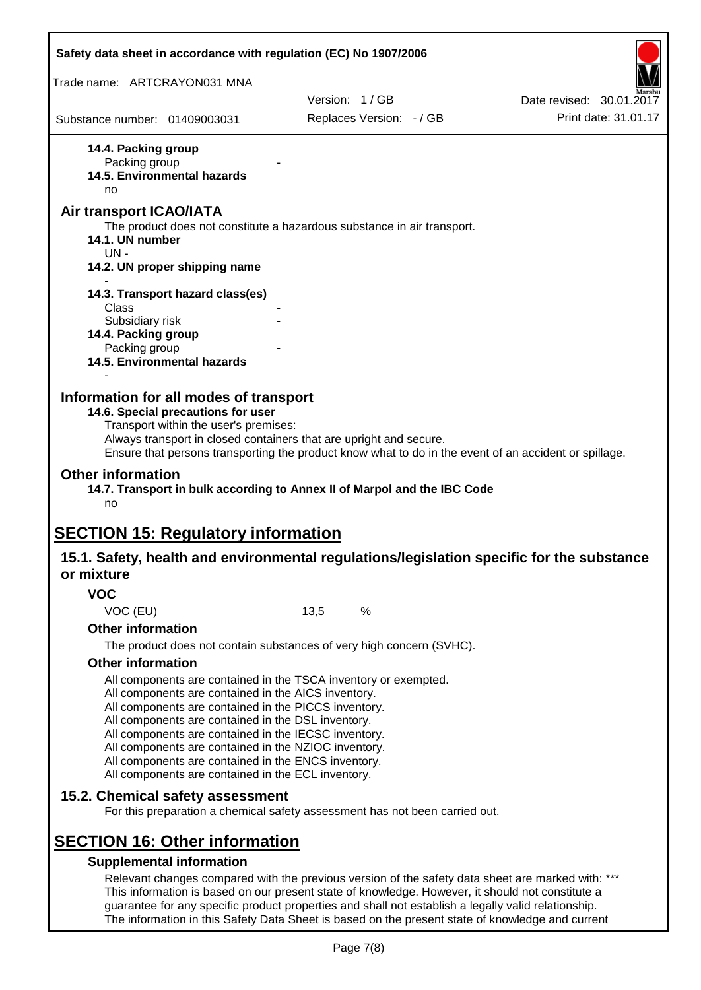| Safety data sheet in accordance with regulation (EC) No 1907/2006 |                                                                                                                                                                                                                                                                                                                                                                                                                                                                   |      |                                                                                                                                                                                                         |                                                                                                       |
|-------------------------------------------------------------------|-------------------------------------------------------------------------------------------------------------------------------------------------------------------------------------------------------------------------------------------------------------------------------------------------------------------------------------------------------------------------------------------------------------------------------------------------------------------|------|---------------------------------------------------------------------------------------------------------------------------------------------------------------------------------------------------------|-------------------------------------------------------------------------------------------------------|
| Trade name: ARTCRAYON031 MNA                                      |                                                                                                                                                                                                                                                                                                                                                                                                                                                                   |      |                                                                                                                                                                                                         |                                                                                                       |
|                                                                   |                                                                                                                                                                                                                                                                                                                                                                                                                                                                   |      | Version: 1/GB                                                                                                                                                                                           | Date revised: 30.01.2017                                                                              |
| Substance number: 01409003031                                     |                                                                                                                                                                                                                                                                                                                                                                                                                                                                   |      | Replaces Version: - / GB                                                                                                                                                                                | Print date: 31.01.17                                                                                  |
| 14.4. Packing group<br>Packing group<br>no                        | 14.5. Environmental hazards                                                                                                                                                                                                                                                                                                                                                                                                                                       |      |                                                                                                                                                                                                         |                                                                                                       |
| Air transport ICAO/IATA<br>14.1. UN number                        |                                                                                                                                                                                                                                                                                                                                                                                                                                                                   |      | The product does not constitute a hazardous substance in air transport.                                                                                                                                 |                                                                                                       |
| $UN -$                                                            | 14.2. UN proper shipping name                                                                                                                                                                                                                                                                                                                                                                                                                                     |      |                                                                                                                                                                                                         |                                                                                                       |
|                                                                   | 14.3. Transport hazard class(es)                                                                                                                                                                                                                                                                                                                                                                                                                                  |      |                                                                                                                                                                                                         |                                                                                                       |
| Class<br>Subsidiary risk<br>14.4. Packing group                   |                                                                                                                                                                                                                                                                                                                                                                                                                                                                   |      |                                                                                                                                                                                                         |                                                                                                       |
| Packing group                                                     | 14.5. Environmental hazards                                                                                                                                                                                                                                                                                                                                                                                                                                       |      |                                                                                                                                                                                                         |                                                                                                       |
| <b>Other information</b><br>no                                    | 14.6. Special precautions for user<br>Transport within the user's premises:<br>Always transport in closed containers that are upright and secure.                                                                                                                                                                                                                                                                                                                 |      | 14.7. Transport in bulk according to Annex II of Marpol and the IBC Code                                                                                                                                | Ensure that persons transporting the product know what to do in the event of an accident or spillage. |
| <b>SECTION 15: Regulatory information</b>                         |                                                                                                                                                                                                                                                                                                                                                                                                                                                                   |      |                                                                                                                                                                                                         |                                                                                                       |
| or mixture                                                        |                                                                                                                                                                                                                                                                                                                                                                                                                                                                   |      |                                                                                                                                                                                                         | 15.1. Safety, health and environmental regulations/legislation specific for the substance             |
| <b>VOC</b>                                                        |                                                                                                                                                                                                                                                                                                                                                                                                                                                                   |      |                                                                                                                                                                                                         |                                                                                                       |
| VOC (EU)                                                          |                                                                                                                                                                                                                                                                                                                                                                                                                                                                   | 13,5 | %                                                                                                                                                                                                       |                                                                                                       |
| <b>Other information</b>                                          |                                                                                                                                                                                                                                                                                                                                                                                                                                                                   |      |                                                                                                                                                                                                         |                                                                                                       |
|                                                                   |                                                                                                                                                                                                                                                                                                                                                                                                                                                                   |      | The product does not contain substances of very high concern (SVHC).                                                                                                                                    |                                                                                                       |
| <b>Other information</b>                                          |                                                                                                                                                                                                                                                                                                                                                                                                                                                                   |      |                                                                                                                                                                                                         |                                                                                                       |
|                                                                   | All components are contained in the TSCA inventory or exempted.<br>All components are contained in the AICS inventory.<br>All components are contained in the PICCS inventory.<br>All components are contained in the DSL inventory.<br>All components are contained in the IECSC inventory.<br>All components are contained in the NZIOC inventory.<br>All components are contained in the ENCS inventory.<br>All components are contained in the ECL inventory. |      |                                                                                                                                                                                                         |                                                                                                       |
|                                                                   | 15.2. Chemical safety assessment                                                                                                                                                                                                                                                                                                                                                                                                                                  |      | For this preparation a chemical safety assessment has not been carried out.                                                                                                                             |                                                                                                       |
| <b>SECTION 16: Other information</b>                              |                                                                                                                                                                                                                                                                                                                                                                                                                                                                   |      |                                                                                                                                                                                                         |                                                                                                       |
|                                                                   | <b>Supplemental information</b>                                                                                                                                                                                                                                                                                                                                                                                                                                   |      |                                                                                                                                                                                                         |                                                                                                       |
|                                                                   |                                                                                                                                                                                                                                                                                                                                                                                                                                                                   |      | This information is based on our present state of knowledge. However, it should not constitute a<br>guarantee for any specific product properties and shall not establish a legally valid relationship. | Relevant changes compared with the previous version of the safety data sheet are marked with: ***     |

The information in this Safety Data Sheet is based on the present state of knowledge and current